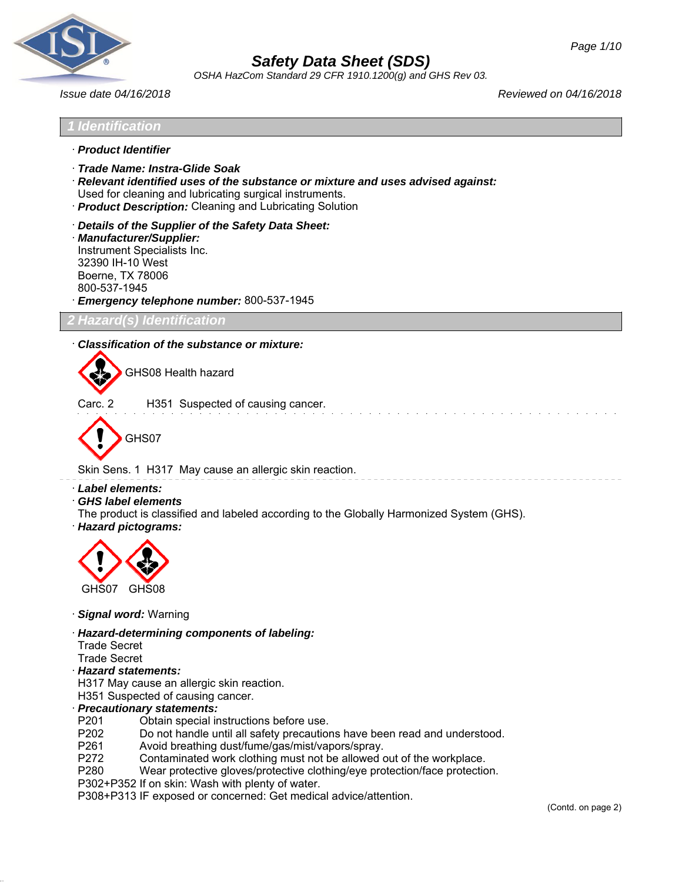

*OSHA HazCom Standard 29 CFR 1910.1200(g) and GHS Rev 03.*

*Issue date 04/16/2018 Reviewed on 04/16/2018*

## *1 Identification*

- · *Product Identifier*
- · *Trade Name: Instra-Glide Soak*
- · *Relevant identified uses of the substance or mixture and uses advised against:* Used for cleaning and lubricating surgical instruments.
- · *Product Description:* Cleaning and Lubricating Solution
- · *Details of the Supplier of the Safety Data Sheet:*
- · *Manufacturer/Supplier:* Instrument Specialists Inc. 32390 IH-10 West Boerne, TX 78006 800-537-1945 · *Emergency telephone number:* 800-537-1945

*2 Hazard(s) Identification*

#### · *Classification of the substance or mixture:*

GHS08 Health hazard

Carc. 2 H351 Suspected of causing cancer.



Skin Sens. 1 H317 May cause an allergic skin reaction.

· *Label elements:*

- · *GHS label elements*
- The product is classified and labeled according to the Globally Harmonized System (GHS).
- · *Hazard pictograms:*



- · *Signal word:* Warning
- · *Hazard-determining components of labeling:*
- Trade Secret
- Trade Secret
- · *Hazard statements:*
- H317 May cause an allergic skin reaction.
- H351 Suspected of causing cancer.

## · *Precautionary statements:*

- P201 Obtain special instructions before use.
- P202 Do not handle until all safety precautions have been read and understood.
- P261 Avoid breathing dust/fume/gas/mist/vapors/spray.
- P272 Contaminated work clothing must not be allowed out of the workplace.
- P280 Wear protective gloves/protective clothing/eye protection/face protection.
- P302+P352 If on skin: Wash with plenty of water.
- P308+P313 IF exposed or concerned: Get medical advice/attention.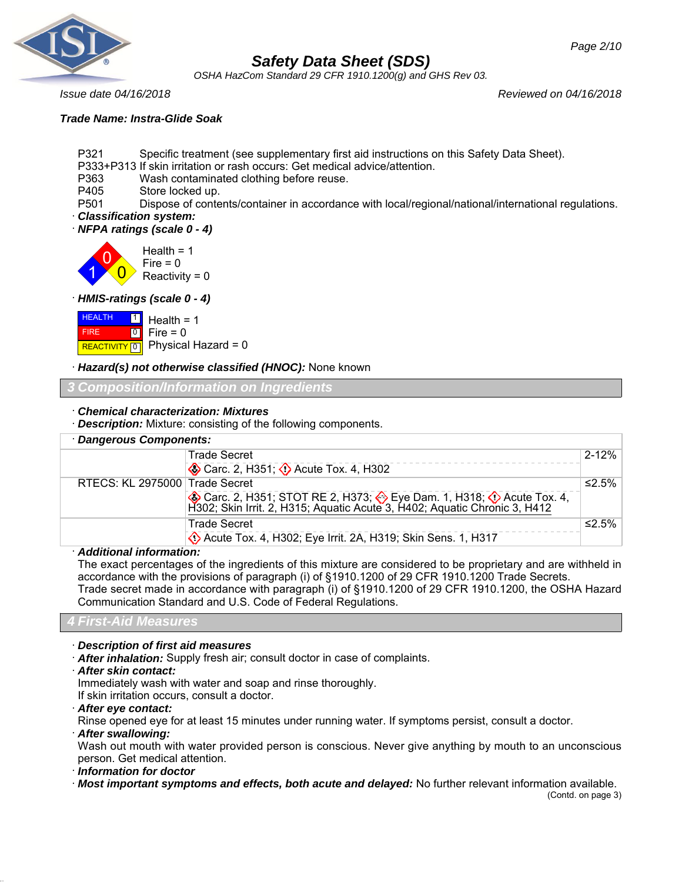*OSHA HazCom Standard 29 CFR 1910.1200(g) and GHS Rev 03.*

*Issue date 04/16/2018 Reviewed on 04/16/2018*

## *Trade Name: Instra-Glide Soak*

P321 Specific treatment (see supplementary first aid instructions on this Safety Data Sheet).

- P333+P313 If skin irritation or rash occurs: Get medical advice/attention.
- P363 Wash contaminated clothing before reuse.
- P405 Store locked up.

P501 Dispose of contents/container in accordance with local/regional/national/international regulations. · *Classification system:*

· *NFPA ratings (scale 0 - 4)*



## · *HMIS-ratings (scale 0 - 4)*

| <b>HEALTH</b> | $\boxed{1}$ Health = 1                          |
|---------------|-------------------------------------------------|
| FIRE <b>A</b> | $\begin{bmatrix} 0 \\ 1 \end{bmatrix}$ Fire = 0 |
|               | REACTIVITY 0 Physical Hazard = 0                |

## · *Hazard(s) not otherwise classified (HNOC):* None known

## *3 Composition/Information on Ingredients*

## · *Chemical characterization: Mixtures*

· *Description:* Mixture: consisting of the following components.

| · Dangerous Components:        |                                                                                                                                             |             |
|--------------------------------|---------------------------------------------------------------------------------------------------------------------------------------------|-------------|
|                                | <b>Trade Secret</b>                                                                                                                         | $2 - 12%$   |
|                                | Carc. 2, H351; 2 Acute Tox. 4, H302                                                                                                         |             |
| RTECS: KL 2975000 Trade Secret |                                                                                                                                             | ≤2.5%       |
|                                | Carc. 2, H351; STOT RE 2, H373; Eye Dam. 1, H318; O Acute Tox. 4, H302; Skin Irrit. 2, H315; Aquatic Acute 3, H402; Aquatic Chronic 3, H412 |             |
|                                | <b>Trade Secret</b>                                                                                                                         | $\leq$ 2.5% |
|                                | Co. Acute Tox. 4, H302; Eye Irrit. 2A, H319; Skin Sens. 1, H317                                                                             |             |

## · *Additional information:*

The exact percentages of the ingredients of this mixture are considered to be proprietary and are withheld in accordance with the provisions of paragraph (i) of §1910.1200 of 29 CFR 1910.1200 Trade Secrets. Trade secret made in accordance with paragraph (i) of §1910.1200 of 29 CFR 1910.1200, the OSHA Hazard Communication Standard and U.S. Code of Federal Regulations.

## *4 First-Aid Measures*

· *Description of first aid measures*

· *After inhalation:* Supply fresh air; consult doctor in case of complaints.

· *After skin contact:*

Immediately wash with water and soap and rinse thoroughly.

- If skin irritation occurs, consult a doctor.
- · *After eye contact:*

Rinse opened eye for at least 15 minutes under running water. If symptoms persist, consult a doctor.

· *After swallowing:*

Wash out mouth with water provided person is conscious. Never give anything by mouth to an unconscious person. Get medical attention.

· *Information for doctor*

· *Most important symptoms and effects, both acute and delayed:* No further relevant information available.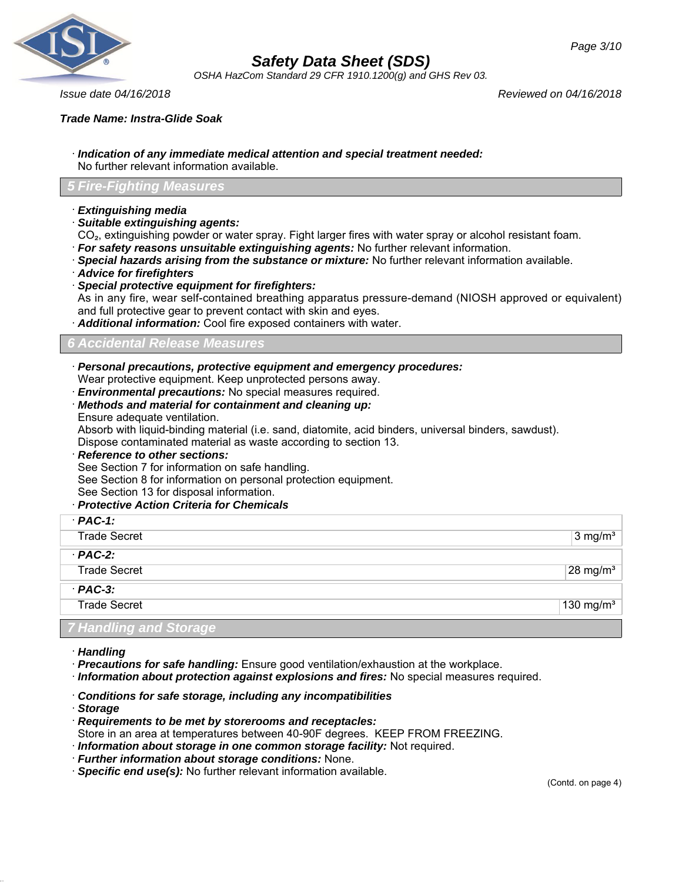

*OSHA HazCom Standard 29 CFR 1910.1200(g) and GHS Rev 03.*

*Issue date 04/16/2018 Reviewed on 04/16/2018*

· *Indication of any immediate medical attention and special treatment needed:* No further relevant information available.

## *5 Fire-Fighting Measures*

- · *Extinguishing media*
- · *Suitable extinguishing agents:*
- CO₂, extinguishing powder or water spray. Fight larger fires with water spray or alcohol resistant foam.
- · *For safety reasons unsuitable extinguishing agents:* No further relevant information.
- · *Special hazards arising from the substance or mixture:* No further relevant information available.
- · *Advice for firefighters*
- · *Special protective equipment for firefighters:*

As in any fire, wear self-contained breathing apparatus pressure-demand (NIOSH approved or equivalent) and full protective gear to prevent contact with skin and eyes.

· *Additional information:* Cool fire exposed containers with water.

## *6 Accidental Release Measures*

- · *Personal precautions, protective equipment and emergency procedures:*
- Wear protective equipment. Keep unprotected persons away.
- · *Environmental precautions:* No special measures required.
- · *Methods and material for containment and cleaning up:*
- Ensure adequate ventilation.

Absorb with liquid-binding material (i.e. sand, diatomite, acid binders, universal binders, sawdust).

Dispose contaminated material as waste according to section 13.

· *Reference to other sections:*

See Section 7 for information on safe handling.

See Section 8 for information on personal protection equipment.

- See Section 13 for disposal information.
- · *Protective Action Criteria for Chemicals*

| $·$ PAC-1:          |                       |
|---------------------|-----------------------|
| <b>Trade Secret</b> | $3$ mg/m <sup>3</sup> |
| $·$ PAC-2:          |                       |
| <b>Trade Secret</b> | $28 \text{ mg/m}^3$   |
| $PAC-3$ :           |                       |
| <b>Trade Secret</b> | 130 mg/ $m3$          |
|                     |                       |

## *7 Handling and Storage*

- · *Handling*
- · *Precautions for safe handling:* Ensure good ventilation/exhaustion at the workplace.
- · *Information about protection against explosions and fires:* No special measures required.
- · *Conditions for safe storage, including any incompatibilities*
- · *Storage*
- · *Requirements to be met by storerooms and receptacles:*
- Store in an area at temperatures between 40-90F degrees. KEEP FROM FREEZING.
- · *Information about storage in one common storage facility:* Not required.
- · *Further information about storage conditions:* None.
- · *Specific end use(s):* No further relevant information available.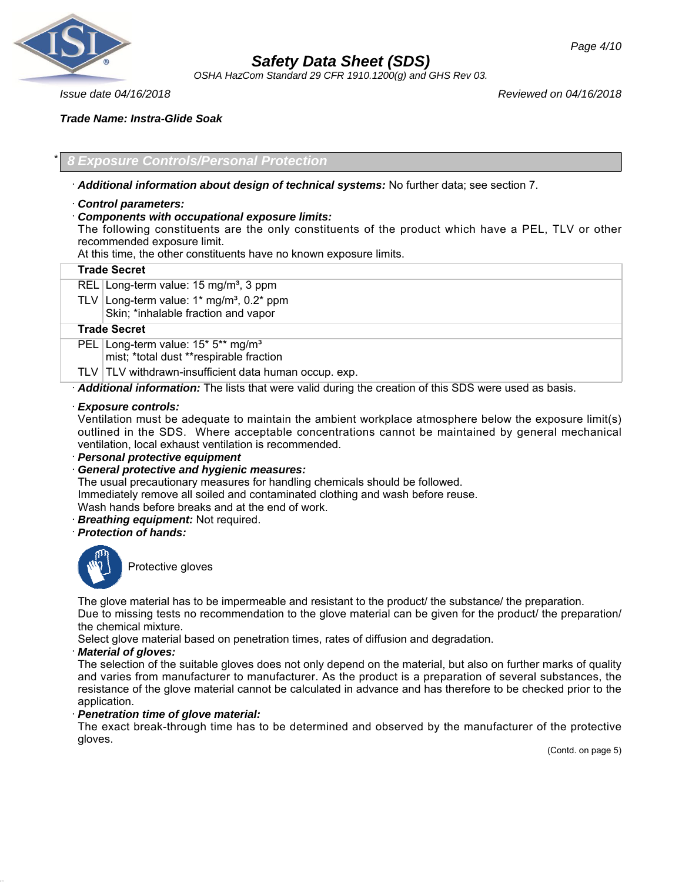

*OSHA HazCom Standard 29 CFR 1910.1200(g) and GHS Rev 03.*

*Issue date 04/16/2018 Reviewed on 04/16/2018*

## *Trade Name: Instra-Glide Soak*

## \* *8 Exposure Controls/Personal Protection*

## · *Additional information about design of technical systems:* No further data; see section 7.

## · *Control parameters:*

## · *Components with occupational exposure limits:*

The following constituents are the only constituents of the product which have a PEL, TLV or other recommended exposure limit.

At this time, the other constituents have no known exposure limits.

#### **Trade Secret**

REL Long-term value:  $15 \text{ mg/m}^3$ , 3 ppm

TLV Long-term value:  $1*$  mg/m<sup>3</sup>, 0.2 $*$  ppm Skin; \*inhalable fraction and vapor

#### **Trade Secret**

PEL Long-term value: 15\* 5\*\* mg/m<sup>3</sup>

mist; \*total dust \*\*respirable fraction

 $TLV$  TLV withdrawn-insufficient data human occup. exp.

· *Additional information:* The lists that were valid during the creation of this SDS were used as basis.

#### · *Exposure controls:*

Ventilation must be adequate to maintain the ambient workplace atmosphere below the exposure limit(s) outlined in the SDS. Where acceptable concentrations cannot be maintained by general mechanical ventilation, local exhaust ventilation is recommended.

· *Personal protective equipment*

## · *General protective and hygienic measures:*

The usual precautionary measures for handling chemicals should be followed. Immediately remove all soiled and contaminated clothing and wash before reuse.

Wash hands before breaks and at the end of work.

· *Breathing equipment:* Not required.

· *Protection of hands:*



Protective gloves

The glove material has to be impermeable and resistant to the product/ the substance/ the preparation.

Due to missing tests no recommendation to the glove material can be given for the product/ the preparation/ the chemical mixture.

Select glove material based on penetration times, rates of diffusion and degradation.

#### · *Material of gloves:*

The selection of the suitable gloves does not only depend on the material, but also on further marks of quality and varies from manufacturer to manufacturer. As the product is a preparation of several substances, the resistance of the glove material cannot be calculated in advance and has therefore to be checked prior to the application.

## · *Penetration time of glove material:*

The exact break-through time has to be determined and observed by the manufacturer of the protective gloves.

(Contd. on page 5)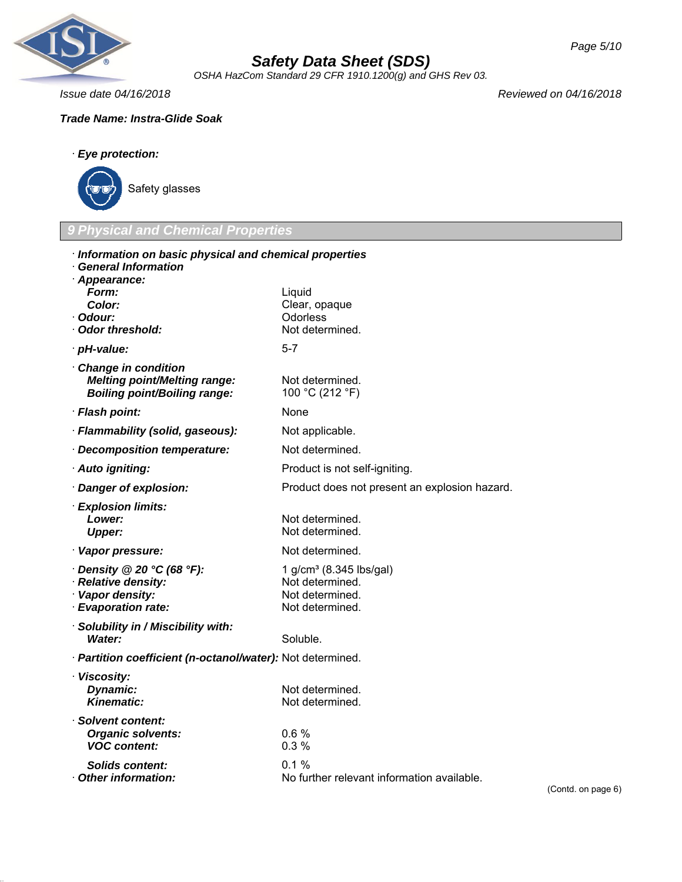

*OSHA HazCom Standard 29 CFR 1910.1200(g) and GHS Rev 03.*

*Issue date 04/16/2018 Reviewed on 04/16/2018*

## *Trade Name: Instra-Glide Soak*



Safety glasses

## *9 Physical and Chemical Properties*

| · Information on basic physical and chemical properties<br><b>General Information</b>              |                                                                                              |      |
|----------------------------------------------------------------------------------------------------|----------------------------------------------------------------------------------------------|------|
| · Appearance:<br>Form:<br><b>Color:</b><br>· Odour:<br>Odor threshold:                             | Liquid<br>Clear, opaque<br>Odorless<br>Not determined.                                       |      |
| · pH-value:                                                                                        | $5 - 7$                                                                                      |      |
| Change in condition<br><b>Melting point/Melting range:</b><br><b>Boiling point/Boiling range:</b>  | Not determined.<br>100 °C (212 °F)                                                           |      |
| · Flash point:                                                                                     | <b>None</b>                                                                                  |      |
| · Flammability (solid, gaseous):                                                                   | Not applicable.                                                                              |      |
| Decomposition temperature:                                                                         | Not determined.                                                                              |      |
| · Auto igniting:                                                                                   | Product is not self-igniting.                                                                |      |
| · Danger of explosion:                                                                             | Product does not present an explosion hazard.                                                |      |
| · Explosion limits:<br>Lower:<br><b>Upper:</b>                                                     | Not determined.<br>Not determined.                                                           |      |
| · Vapor pressure:                                                                                  | Not determined.                                                                              |      |
| $\cdot$ Density @ 20 °C (68 °F):<br>· Relative density:<br>· Vapor density:<br>· Evaporation rate: | 1 g/cm <sup>3</sup> (8.345 lbs/gal)<br>Not determined.<br>Not determined.<br>Not determined. |      |
| · Solubility in / Miscibility with:<br>Water:                                                      | Soluble.                                                                                     |      |
| · Partition coefficient (n-octanol/water): Not determined.                                         |                                                                                              |      |
| · Viscosity:<br>Dynamic:<br><b>Kinematic:</b>                                                      | Not determined.<br>Not determined.                                                           |      |
| Solvent content:<br><b>Organic solvents:</b><br><b>VOC content:</b>                                | 0.6%<br>0.3%                                                                                 |      |
| Solids content:<br>Other information:                                                              | $0.1 \%$<br>No further relevant information available.                                       | (Con |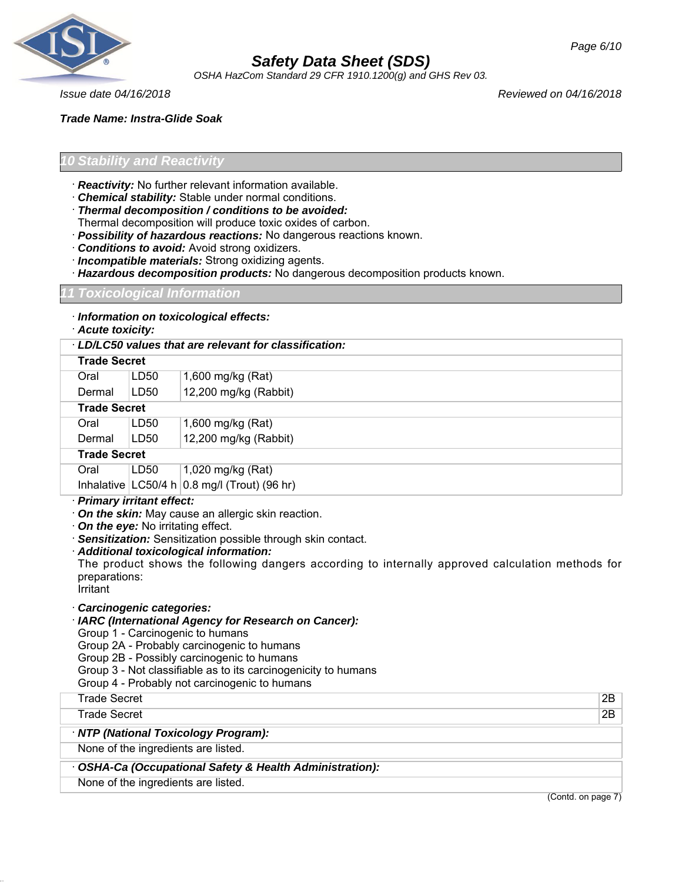

*OSHA HazCom Standard 29 CFR 1910.1200(g) and GHS Rev 03.*

*Issue date 04/16/2018 Reviewed on 04/16/2018*

*Page 6/10*

*Trade Name: Instra-Glide Soak*

## *10 Stability and Reactivity*

- · *Reactivity:* No further relevant information available.
- · *Chemical stability:* Stable under normal conditions.
- · *Thermal decomposition / conditions to be avoided:*
- Thermal decomposition will produce toxic oxides of carbon.
- · *Possibility of hazardous reactions:* No dangerous reactions known.
- · *Conditions to avoid:* Avoid strong oxidizers.
- · *Incompatible materials:* Strong oxidizing agents.
- · *Hazardous decomposition products:* No dangerous decomposition products known.

## *11 Toxicological Information*

· *Information on toxicological effects:*

## · *Acute toxicity:*

## · *LD/LC50 values that are relevant for classification:* **Trade Secret** Oral LD50 1,600 mg/kg (Rat) Dermal LD50 12,200 mg/kg (Rabbit) **Trade Secret** Oral LD50 1,600 mg/kg (Rat) Dermal LD50 12,200 mg/kg (Rabbit) **Trade Secret** Oral LD50 1,020 mg/kg (Rat) Inhalative  $|$  LC50/4 h  $|$  0.8 mg/l (Trout) (96 hr)

## · *Primary irritant effect:*

- · *On the skin:* May cause an allergic skin reaction.
- · *On the eye:* No irritating effect.
- · *Sensitization:* Sensitization possible through skin contact.
- · *Additional toxicological information:*

The product shows the following dangers according to internally approved calculation methods for preparations:

Irritant

## · *Carcinogenic categories:*

- · *IARC (International Agency for Research on Cancer):*
- Group 1 Carcinogenic to humans
- Group 2A Probably carcinogenic to humans
- Group 2B Possibly carcinogenic to humans
- Group 3 Not classifiable as to its carcinogenicity to humans

Group 4 - Probably not carcinogenic to humans

| Trade Secret                                             | 2B                 |
|----------------------------------------------------------|--------------------|
| Trade Secret                                             | 2B                 |
| · NTP (National Toxicology Program):                     |                    |
| None of the ingredients are listed.                      |                    |
| • OSHA-Ca (Occupational Safety & Health Administration): |                    |
| None of the ingredients are listed.                      |                    |
|                                                          | (Contd. on page 7) |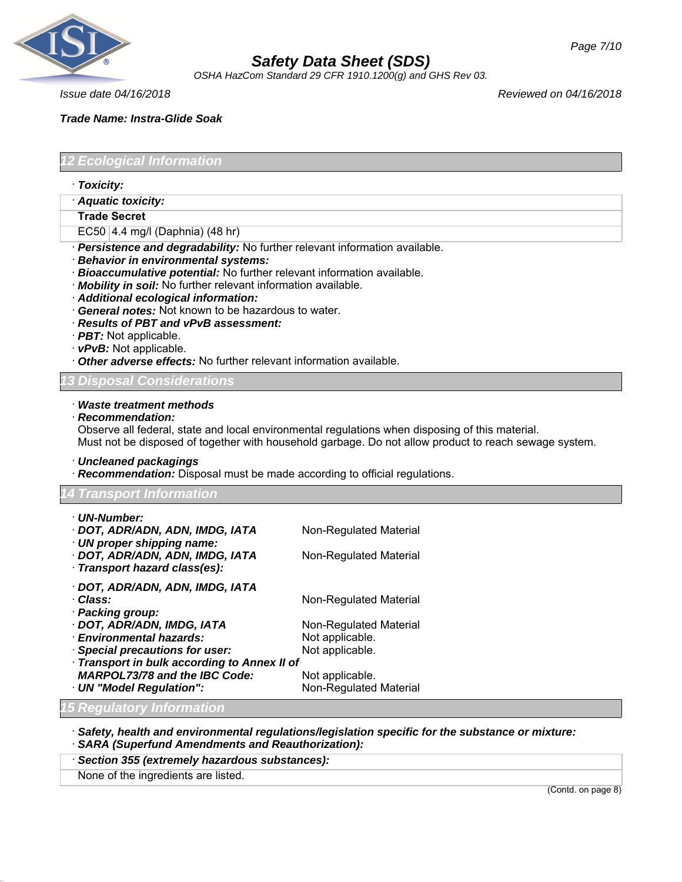

*OSHA HazCom Standard 29 CFR 1910.1200(g) and GHS Rev 03.*

*Issue date 04/16/2018 Reviewed on 04/16/2018*

## *Trade Name: Instra-Glide Soak*

*12 Ecological Information*

- · *Toxicity:*
- · *Aquatic toxicity:*
- **Trade Secret**

EC50 4.4 mg/l (Daphnia) (48 hr)

· *Persistence and degradability:* No further relevant information available.

- · *Behavior in environmental systems:*
- · *Bioaccumulative potential:* No further relevant information available.
- · *Mobility in soil:* No further relevant information available.
- · *Additional ecological information:*
- · *General notes:* Not known to be hazardous to water.
- · *Results of PBT and vPvB assessment:*
- · *PBT:* Not applicable.
- · *vPvB:* Not applicable.
- · *Other adverse effects:* No further relevant information available.

## *13 Disposal Considerations*

#### · *Waste treatment methods*

· *Recommendation:*

Observe all federal, state and local environmental regulations when disposing of this material. Must not be disposed of together with household garbage. Do not allow product to reach sewage system.

· *Uncleaned packagings*

· *Recommendation:* Disposal must be made according to official regulations.

## *14 Transport Information*

| · UN-Number:                                                                                   |                        |
|------------------------------------------------------------------------------------------------|------------------------|
| · DOT, ADR/ADN, ADN, IMDG, IATA                                                                | Non-Regulated Material |
| · UN proper shipping name:<br>· DOT, ADR/ADN, ADN, IMDG, IATA<br>· Transport hazard class(es): | Non-Regulated Material |
| · DOT, ADR/ADN, ADN, IMDG, IATA                                                                |                        |
| · Class:                                                                                       | Non-Regulated Material |
| · Packing group:                                                                               |                        |
| · DOT, ADR/ADN, IMDG, IATA                                                                     | Non-Regulated Material |
| <b>Environmental hazards:</b>                                                                  | Not applicable.        |
| · Special precautions for user:                                                                | Not applicable.        |
| Transport in bulk according to Annex II of                                                     |                        |
| <b>MARPOL73/78 and the IBC Code:</b>                                                           | Not applicable.        |
| · UN "Model Regulation":                                                                       | Non-Regulated Material |
| <b>15 Regulatory Information</b>                                                               |                        |

· *Safety, health and environmental regulations/legislation specific for the substance or mixture:*

- · *SARA (Superfund Amendments and Reauthorization):*
- · *Section 355 (extremely hazardous substances):*

None of the ingredients are listed.

(Contd. on page 8)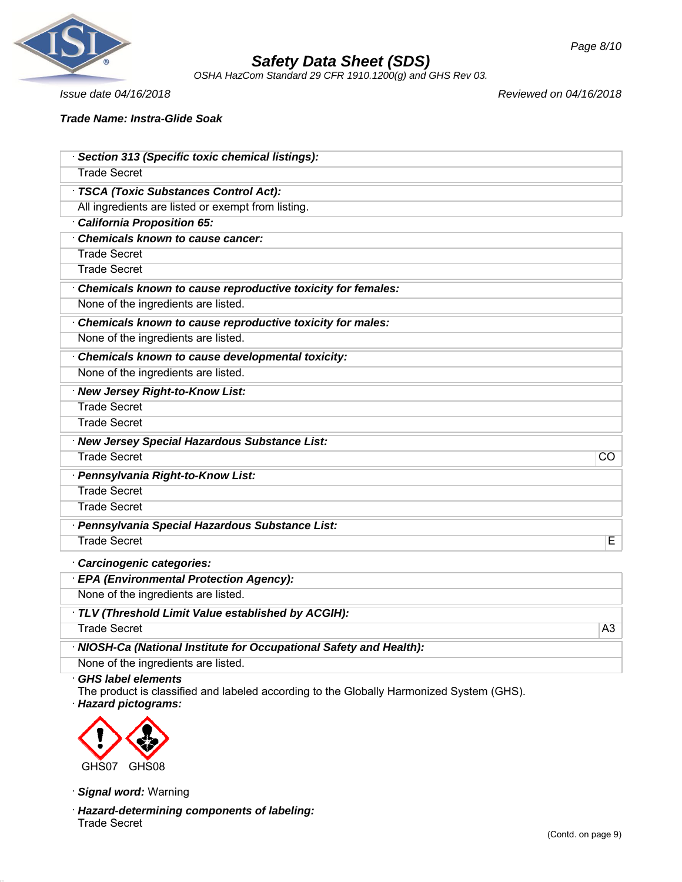

*OSHA HazCom Standard 29 CFR 1910.1200(g) and GHS Rev 03.*

*Issue date 04/16/2018 Reviewed on 04/16/2018*

## *Trade Name: Instra-Glide Soak*

| Section 313 (Specific toxic chemical listings):                     |           |
|---------------------------------------------------------------------|-----------|
| <b>Trade Secret</b>                                                 |           |
| <b>TSCA (Toxic Substances Control Act):</b>                         |           |
| All ingredients are listed or exempt from listing.                  |           |
| California Proposition 65:                                          |           |
| Chemicals known to cause cancer:                                    |           |
| <b>Trade Secret</b>                                                 |           |
| <b>Trade Secret</b>                                                 |           |
| Chemicals known to cause reproductive toxicity for females:         |           |
| None of the ingredients are listed.                                 |           |
| Chemicals known to cause reproductive toxicity for males:           |           |
| None of the ingredients are listed.                                 |           |
| Chemicals known to cause developmental toxicity:                    |           |
| None of the ingredients are listed.                                 |           |
| · New Jersey Right-to-Know List:                                    |           |
| <b>Trade Secret</b>                                                 |           |
| <b>Trade Secret</b>                                                 |           |
| · New Jersey Special Hazardous Substance List:                      |           |
| <b>Trade Secret</b>                                                 | <b>CO</b> |
| · Pennsylvania Right-to-Know List:                                  |           |
| <b>Trade Secret</b>                                                 |           |
| <b>Trade Secret</b>                                                 |           |
| · Pennsylvania Special Hazardous Substance List:                    |           |
| <b>Trade Secret</b>                                                 | Е         |
| Carcinogenic categories:                                            |           |
| · EPA (Environmental Protection Agency):                            |           |
| None of the ingredients are listed.                                 |           |
| TLV (Threshold Limit Value established by ACGIH):                   |           |
| <b>Trade Secret</b>                                                 | A3        |
| · NIOSH-Ca (National Institute for Occupational Safety and Health): |           |
| None of the ingredients are listed.                                 |           |

## · *GHS label elements*

The product is classified and labeled according to the Globally Harmonized System (GHS). · *Hazard pictograms:*



· *Signal word:* Warning

· *Hazard-determining components of labeling:* Trade Secret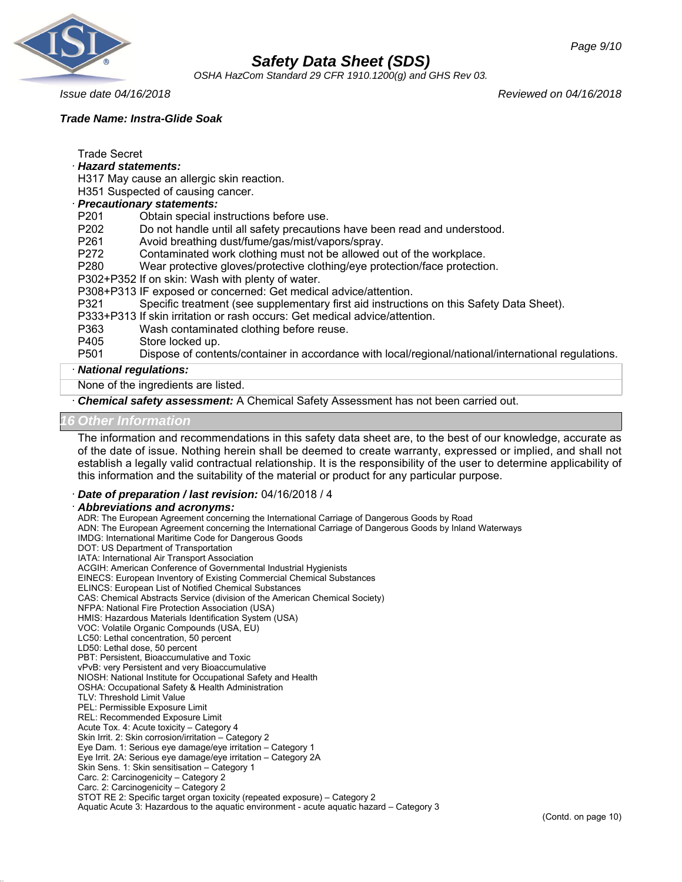

*OSHA HazCom Standard 29 CFR 1910.1200(g) and GHS Rev 03.*

## *Trade Name: Instra-Glide Soak*

*Issue date 04/16/2018 Reviewed on 04/16/2018*

Trade Secret

· *Hazard statements:*

H317 May cause an allergic skin reaction.

H351 Suspected of causing cancer.

## · *Precautionary statements:*

- P201 Obtain special instructions before use.
- P202 Do not handle until all safety precautions have been read and understood.
- P261 Avoid breathing dust/fume/gas/mist/vapors/spray.
- P272 Contaminated work clothing must not be allowed out of the workplace.
- P280 Wear protective gloves/protective clothing/eye protection/face protection.
- P302+P352 If on skin: Wash with plenty of water.
- P308+P313 IF exposed or concerned: Get medical advice/attention.
- P321 Specific treatment (see supplementary first aid instructions on this Safety Data Sheet).
- P333+P313 If skin irritation or rash occurs: Get medical advice/attention.
- P363 Wash contaminated clothing before reuse.
- P405 Store locked up.

P501 Dispose of contents/container in accordance with local/regional/national/international regulations.

#### · *National regulations:*

None of the ingredients are listed.

· *Chemical safety assessment:* A Chemical Safety Assessment has not been carried out.

#### *16 Other Information*

The information and recommendations in this safety data sheet are, to the best of our knowledge, accurate as of the date of issue. Nothing herein shall be deemed to create warranty, expressed or implied, and shall not establish a legally valid contractual relationship. It is the responsibility of the user to determine applicability of this information and the suitability of the material or product for any particular purpose.

## · *Date of preparation / last revision:* 04/16/2018 / 4

#### · *Abbreviations and acronyms:*

ADR: The European Agreement concerning the International Carriage of Dangerous Goods by Road ADN: The European Agreement concerning the International Carriage of Dangerous Goods by Inland Waterways IMDG: International Maritime Code for Dangerous Goods DOT: US Department of Transportation IATA: International Air Transport Association ACGIH: American Conference of Governmental Industrial Hygienists EINECS: European Inventory of Existing Commercial Chemical Substances ELINCS: European List of Notified Chemical Substances CAS: Chemical Abstracts Service (division of the American Chemical Society) NFPA: National Fire Protection Association (USA) HMIS: Hazardous Materials Identification System (USA) VOC: Volatile Organic Compounds (USA, EU) LC50: Lethal concentration, 50 percent LD50: Lethal dose, 50 percent PBT: Persistent, Bioaccumulative and Toxic vPvB: very Persistent and very Bioaccumulative NIOSH: National Institute for Occupational Safety and Health OSHA: Occupational Safety & Health Administration TLV: Threshold Limit Value PEL: Permissible Exposure Limit REL: Recommended Exposure Limit Acute Tox. 4: Acute toxicity – Category 4 Skin Irrit. 2: Skin corrosion/irritation – Category 2 Eye Dam. 1: Serious eye damage/eye irritation – Category 1 Eye Irrit. 2A: Serious eye damage/eye irritation – Category 2A Skin Sens. 1: Skin sensitisation – Category 1 Carc. 2: Carcinogenicity – Category 2 Carc. 2: Carcinogenicity – Category 2 STOT RE 2: Specific target organ toxicity (repeated exposure) – Category 2 Aquatic Acute 3: Hazardous to the aquatic environment - acute aquatic hazard – Category 3